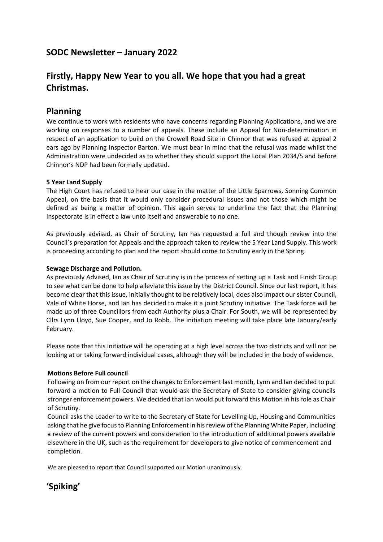## **SODC Newsletter – January 2022**

## **Firstly, Happy New Year to you all. We hope that you had a great Christmas.**

#### **Planning**

We continue to work with residents who have concerns regarding Planning Applications, and we are working on responses to a number of appeals. These include an Appeal for Non-determination in respect of an application to build on the Crowell Road Site in Chinnor that was refused at appeal 2 ears ago by Planning Inspector Barton. We must bear in mind that the refusal was made whilst the Administration were undecided as to whether they should support the Local Plan 2034/5 and before Chinnor's NDP had been formally updated.

#### **5 Year Land Supply**

The High Court has refused to hear our case in the matter of the Little Sparrows, Sonning Common Appeal, on the basis that it would only consider procedural issues and not those which might be defined as being a matter of opinion. This again serves to underline the fact that the Planning Inspectorate is in effect a law unto itself and answerable to no one.

As previously advised, as Chair of Scrutiny, Ian has requested a full and though review into the Council's preparation for Appeals and the approach taken to review the 5 Year Land Supply. This work is proceeding according to plan and the report should come to Scrutiny early in the Spring.

#### **Sewage Discharge and Pollution.**

As previously Advised, Ian as Chair of Scrutiny is in the process of setting up a Task and Finish Group to see what can be done to help alleviate this issue by the District Council. Since our last report, it has become clear that this issue, initially thought to be relatively local, does also impact our sister Council, Vale of White Horse, and Ian has decided to make it a joint Scrutiny initiative. The Task force will be made up of three Councillors from each Authority plus a Chair. For South, we will be represented by Cllrs Lynn Lloyd, Sue Cooper, and Jo Robb. The initiation meeting will take place late January/early February.

Please note that this initiative will be operating at a high level across the two districts and will not be looking at or taking forward individual cases, although they will be included in the body of evidence.

#### **Motions Before Full council**

Following on from our report on the changes to Enforcement last month, Lynn and Ian decided to put forward a motion to Full Council that would ask the Secretary of State to consider giving councils stronger enforcement powers. We decided that Ian would put forward this Motion in his role as Chair of Scrutiny.

Council asks the Leader to write to the Secretary of State for Levelling Up, Housing and Communities asking that he give focus to Planning Enforcement in his review of the Planning White Paper, including a review of the current powers and consideration to the introduction of additional powers available elsewhere in the UK, such as the requirement for developers to give notice of commencement and completion.

We are pleased to report that Council supported our Motion unanimously.

# **'Spiking'**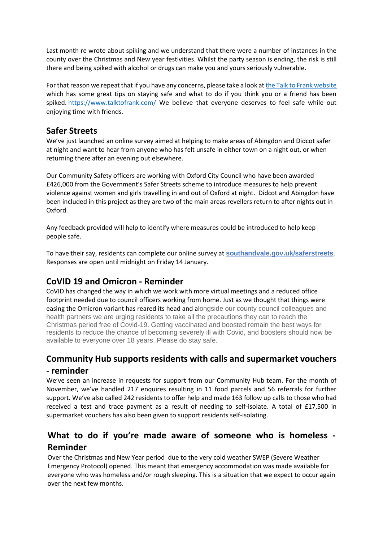Last month re wrote about spiking and we understand that there were a number of instances in the county over the Christmas and New year festivities. Whilst the party season is ending, the risk is still there and being spiked with alcohol or drugs can make you and yours seriously vulnerable.

For that reason we repeat that if you have any concerns, please take a look a[t the Talk to Frank website](https://ebtk.co.uk/click/U0JrbEZhcExKL2R6WjJ1WFVTQWt6OVd6aFlrenFGNk5rWk5GQnFjSDlKTDAzOGN3R1BDNlRMOFFKRUNpMG91OHdZZVI/UUIwcUVlTkw) which has some great tips on staying safe and what to do if you think you or a friend has been spiked. <https://www.talktofrank.com/> We believe that everyone deserves to feel safe while out enjoying time with friends.

### **Safer Streets**

We've just launched an online survey aimed at helping to make areas of Abingdon and Didcot safer at night and want to hear from anyone who has felt unsafe in either town on a night out, or when returning there after an evening out elsewhere.

Our Community Safety officers are working with Oxford City Council who have been awarded £426,000 from the Government's Safer Streets scheme to introduce measures to help prevent violence against women and girls travelling in and out of Oxford at night. Didcot and Abingdon have been included in this project as they are two of the main areas revellers return to after nights out in Oxford.

Any feedback provided will help to identify where measures could be introduced to help keep people safe.

To have their say, residents can complete our online survey at **[southandvale.gov.uk/saferstreets](https://ebtk.co.uk/click/U0JrbEZhcExJZkJ6WjJ1WFVTQWtoc0N6M1lrejhRT1doWXRHRTZZRjhKTDIwY2MwR091N1Y3RklKQTYzeDVDazNKdVRlLzU1/UlJ3ckZnPT0)**. Responses are open until midnight on Friday 14 January.

## **CoVID 19 and Omicron - Reminder**

CoVID has changed the way in which we work with more virtual meetings and a reduced office footprint needed due to council officers working from home. Just as we thought that things were easing the Omicron variant has reared its head and alongside our county council colleagues and health partners we are urging residents to take all the precautions they can to reach the Christmas period free of Covid-19. Getting vaccinated and boosted remain the best ways for residents to reduce the chance of becoming severely ill with Covid, and boosters should now be available to everyone over 18 years. Please do stay safe.

# **Community Hub supports residents with calls and supermarket vouchers**

#### **- reminder**

We've seen an increase in requests for support from our Community Hub team. For the month of November, we've handled 217 enquires resulting in 11 food parcels and 56 referrals for further support. We've also called 242 residents to offer help and made 163 follow up calls to those who had received a test and trace payment as a result of needing to self-isolate. A total of £17,500 in supermarket vouchers has also been given to support residents self-isolating.

## **What to do if you're made aware of someone who is homeless - Reminder**

Over the Christmas and New Year period due to the very cold weather SWEP (Severe Weather Emergency Protocol) opened. This meant that emergency accommodation was made available for everyone who was homeless and/or rough sleeping. This is a situation that we expect to occur again over the next few months.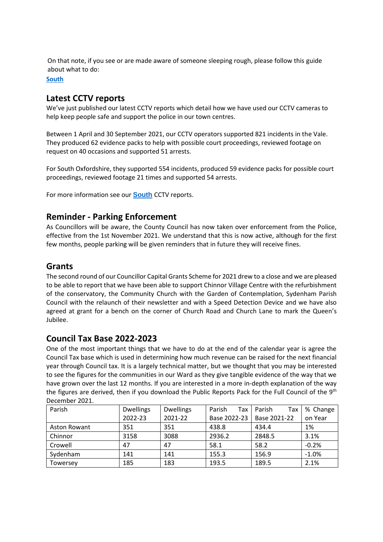On that note, if you see or are made aware of someone sleeping rough, please follow this guide about what to do:

**[South](https://ebtk.co.uk/click/U0JrbEZhcExKdkJ6WjJ1WFVTQWtoc0N6M1lrejhRT1doWXRHSGJBTzZOMzkyNTk5QXZhNlViVVNJd2Y4elpxeHg1dVNiZUpqa2N6UW5IdDJGRXZoQTFGdWNzOXBpK0dMenA4bG83dDlLTE1rT1dRT3NMNzU5R09zbHNnYnM5WEhtcDlO/UlJ3ckZnPT0)**

### **Latest CCTV reports**

We've just published our latest CCTV reports which detail how we have used our CCTV cameras to help keep people safe and support the police in our town centres.

Between 1 April and 30 September 2021, our CCTV operators supported 821 incidents in the Vale. They produced 62 evidence packs to help with possible court proceedings, reviewed footage on request on 40 occasions and supported 51 arrests.

For South Oxfordshire, they supported 554 incidents, produced 59 evidence packs for possible court proceedings, reviewed footage 21 times and supported 54 arrests.

For more information see our **[South](https://ebtk.co.uk/click/U0JrbEZhcExJZkJ6WjJ1WFVTQWt6OVd6aFlrenFGNktuNHBhR3FjWjZaMjAwNFlsV2VqK0RhMFhlZ3krekpheXhwM1phL3Btak1pWml6MTJDVTN0RXdweFBwSXMxN1BOazRKaW42RjdOYlZ1V1gwYXV1SGs2SDdvak1KYmxmcjJ2OEVTbXphZ1o0Y3EwL0xlNGFEdG5qQ3JJR2VtODhuMXgxSEhVQllLaVB3TTl2MD0/UlJ3ckZnPT0)** CCTV reports.

#### **Reminder - Parking Enforcement**

As Councillors will be aware, the County Council has now taken over enforcement from the Police, effective from the 1st November 2021. We understand that this is now active, although for the first few months, people parking will be given reminders that in future they will receive fines.

#### **Grants**

The second round of our Councillor Capital Grants Scheme for 2021 drew to a close and we are pleased to be able to report that we have been able to support Chinnor Village Centre with the refurbishment of the conservatory, the Community Church with the Garden of Contemplation, Sydenham Parish Council with the relaunch of their newsletter and with a Speed Detection Device and we have also agreed at grant for a bench on the corner of Church Road and Church Lane to mark the Queen's Jubilee.

### **Council Tax Base 2022-2023**

One of the most important things that we have to do at the end of the calendar year is agree the Council Tax base which is used in determining how much revenue can be raised for the next financial year through Council tax. It is a largely technical matter, but we thought that you may be interested to see the figures for the communities in our Ward as they give tangible evidence of the way that we have grown over the last 12 months. If you are interested in a more in-depth explanation of the way the figures are derived, then if you download the Public Reports Pack for the Full Council of the 9<sup>th</sup> December 2021.

| Parish              | <b>Dwellings</b> | <b>Dwellings</b> | Parish<br>Tax | Parish<br>Tax | % Change |
|---------------------|------------------|------------------|---------------|---------------|----------|
|                     | 2022-23          | 2021-22          | Base 2022-23  | Base 2021-22  | on Year  |
| <b>Aston Rowant</b> | 351              | 351              | 438.8         | 434.4         | 1%       |
| Chinnor             | 3158             | 3088             | 2936.2        | 2848.5        | 3.1%     |
| Crowell             | 47               | 47               | 58.1          | 58.2          | $-0.2%$  |
| Sydenham            | 141              | 141              | 155.3         | 156.9         | $-1.0%$  |
| Towersey            | 185              | 183              | 193.5         | 189.5         | 2.1%     |